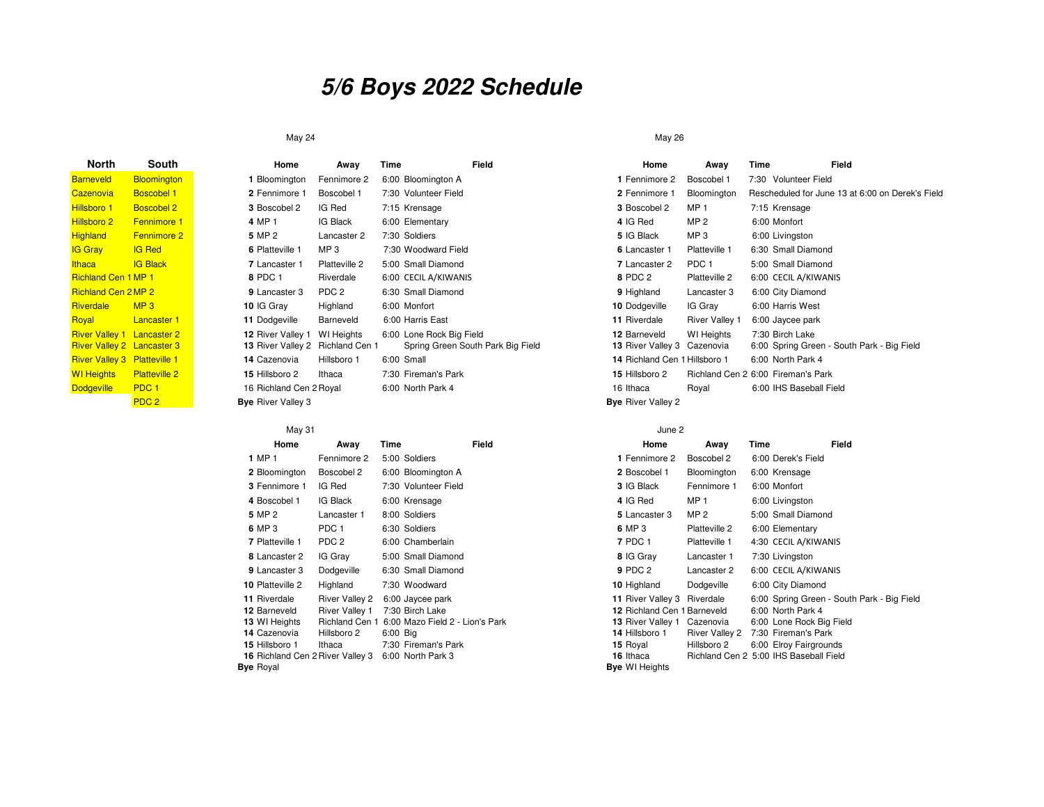# **5/6 Boys 2022 Schedule**

## May 24

| <b>North</b>                        | South                |     |
|-------------------------------------|----------------------|-----|
| <b>Barneveld</b>                    | <b>Bloomington</b>   | 1   |
| Cazenovia                           | <b>Boscobel 1</b>    | 2   |
| <b>Hillsboro 1</b>                  | <b>Boscobel 2</b>    | 3   |
| Hillsboro 2                         | <b>Fennimore 1</b>   | 4   |
| <b>Highland</b>                     | <b>Fennimore 2</b>   | 5   |
| <b>IG Gray</b>                      | <b>IG Red</b>        | 6   |
| <b>Ithaca</b>                       | <b>IG Black</b>      | 7   |
| <b>Richland Cen 1 MP 1</b>          |                      | 8   |
| <b>Richland Cen 2 MP 2</b>          |                      | g   |
| <b>Riverdale</b>                    | MP <sub>3</sub>      | 10  |
| Royal                               | <b>Lancaster 1</b>   | 11  |
| <b>River Valley 1 Lancaster 2</b>   |                      | 12  |
| <b>River Valley 2 Lancaster 3</b>   |                      | 13  |
| <b>River Valley 3 Platteville 1</b> |                      | 14  |
| <b>WI Heights</b>                   | <b>Platteville 2</b> | 15  |
| <b>Dodgeville</b>                   | PDC <sub>1</sub>     | 16  |
|                                     | PDC <sub>2</sub>     | Bve |

| South                | Home                      | Away                  | Time                     | Field                             | Home                          | Away                  | Time                               | Field |
|----------------------|---------------------------|-----------------------|--------------------------|-----------------------------------|-------------------------------|-----------------------|------------------------------------|-------|
| <b>Bloomington</b>   | Bloomington               | Fennimore 2           | 6:00 Bloomington A       |                                   | 1 Fennimore 2                 | Boscobel 1            | 7:30 Volunteer Field               |       |
| <b>Boscobel 1</b>    | 2 Fennimore 1             | Boscobel 1            | 7:30 Volunteer Field     |                                   | 2 Fennimore 1                 | Bloomington           | Rescheduled for June 13            |       |
| <b>Boscobel 2</b>    | 3 Boscobel 2              | IG Red                | 7:15 Krensage            |                                   | 3 Boscobel 2                  | MP <sub>1</sub>       | 7:15 Krensage                      |       |
| <b>Fennimore 1</b>   | 4 MP 1                    | IG Black              | 6:00 Elementary          |                                   | 4 IG Red                      | MP <sub>2</sub>       | 6:00 Monfort                       |       |
| <b>Fennimore 2</b>   | 5 MP 2                    | Lancaster 2           | 7:30 Soldiers            |                                   | 5 IG Black                    | MP <sub>3</sub>       | 6:00 Livingston                    |       |
| <b>IG Red</b>        | 6 Platteville 1           | MP <sub>3</sub>       | 7:30 Woodward Field      |                                   | 6 Lancaster 1                 | Platteville 1         | 6:30 Small Diamond                 |       |
| <b>IG Black</b>      | 7 Lancaster 1             | Platteville 2         | 5:00 Small Diamond       |                                   | 7 Lancaster 2                 | PDC <sub>1</sub>      | 5:00 Small Diamond                 |       |
| 1 MP 1               | 8 PDC 1                   | Riverdale             | 6:00 CECIL A/KIWANIS     |                                   | 8 PDC 2                       | Platteville 2         | 6:00 CECIL A/KIWANIS               |       |
| 2 MP 2               | 9 Lancaster 3             | PDC <sub>2</sub>      | 6:30 Small Diamond       |                                   | 9 Highland                    | Lancaster 3           | 6:00 City Diamond                  |       |
| MP <sub>3</sub>      | 10 IG Gray                | Highland              | 6:00 Monfort             |                                   | 10 Dodgeville                 | IG Gray               | 6:00 Harris West                   |       |
| <b>Lancaster 1</b>   | 11 Dodgeville             | Barneveld             | 6:00 Harris East         |                                   | 11 Riverdale                  | <b>River Valley 1</b> | 6:00 Jaycee park                   |       |
| <b>Lancaster 2</b>   | 12 River Valley 1         | WI Heights            | 6:00 Lone Rock Big Field |                                   | 12 Barneveld                  | <b>WI</b> Heights     | 7:30 Birch Lake                    |       |
| <b>Lancaster 3</b>   | 13 River Valley 2         | <b>Richland Cen 1</b> |                          | Spring Green South Park Big Field | <b>13 River Valley 3</b>      | Cazenovia             | 6:00 Spring Green - Sout           |       |
| <b>Platteville 1</b> | 14 Cazenovia              | Hillsboro 1           | 6:00 Small               |                                   | 14 Richland Cen 1 Hillsboro 1 |                       | 6:00 North Park 4                  |       |
| <b>Platteville 2</b> | 15 Hillsboro 2            | Ithaca                | 7:30 Fireman's Park      |                                   | 15 Hillsboro 2                |                       | Richland Cen 2 6:00 Fireman's Park |       |
| PDC <sub>1</sub>     | 16 Richland Cen 2 Royal   |                       | 6:00 North Park 4        |                                   | 16 Ithaca                     | Royal                 | 6:00 IHS Baseball Field            |       |
| PDC <sub>2</sub>     | <b>Bye</b> River Valley 3 |                       |                          |                                   | <b>Bye</b> River Valley 2     |                       |                                    |       |

## May 31

| Home                             | Away                  | Time     | Field                           | Home                        | Away                  | Time | Field                                  |
|----------------------------------|-----------------------|----------|---------------------------------|-----------------------------|-----------------------|------|----------------------------------------|
| 1 MP 1                           | Fennimore 2           |          | 5:00 Soldiers                   | 1 Fennimore 2               | Boscobel 2            |      | 6:00 Derek's Field                     |
| 2 Bloomington                    | Boscobel 2            |          | 6:00 Bloomington A              | 2 Boscobel 1                | Bloomington           |      | 6:00 Krensage                          |
| 3 Fennimore 1                    | IG Red                |          | 7:30 Volunteer Field            | 3 IG Black                  | Fennimore 1           |      | 6:00 Monfort                           |
| 4 Boscobel 1                     | IG Black              |          | 6:00 Krensage                   | 4 IG Red                    | MP <sub>1</sub>       |      | 6:00 Livingston                        |
| 5 MP 2                           | Lancaster 1           |          | 8:00 Soldiers                   | 5 Lancaster 3               | MP <sub>2</sub>       |      | 5:00 Small Diamond                     |
| 6 MP 3                           | PDC <sub>1</sub>      |          | 6:30 Soldiers                   | 6 MP 3                      | Platteville 2         |      | 6:00 Elementary                        |
| 7 Platteville 1                  | PDC 2                 |          | 6:00 Chamberlain                | <b>7 PDC 1</b>              | Platteville 1         |      | 4:30 CECIL A/KIWANIS                   |
| 8 Lancaster 2                    | IG Gray               |          | 5:00 Small Diamond              | 8 IG Gray                   | Lancaster 1           |      | 7:30 Livingston                        |
| 9 Lancaster 3                    | Dodgeville            |          | 6:30 Small Diamond              | 9 PDC 2                     | Lancaster 2           |      | 6:00 CECIL A/KIWANIS                   |
| 10 Platteville 2                 | Highland              |          | 7:30 Woodward                   | 10 Highland                 | Dodgeville            |      | 6:00 City Diamond                      |
| <b>11 Riverdale</b>              | <b>River Valley 2</b> |          | 6:00 Jaycee park                | 11 River Valley 3           | Riverdale             |      | 6:00 Spring Green - Sout               |
| 12 Barneveld                     | <b>River Valley 1</b> |          | 7:30 Birch Lake                 | 12 Richland Cen 1 Barneveld |                       |      | 6:00 North Park 4                      |
| 13 WI Heights                    | Richland Cen 1        |          | 6:00 Mazo Field 2 - Lion's Park | 13 River Valley 1           | Cazenovia             |      | 6:00 Lone Rock Big Field               |
| 14 Cazenovia                     | Hillsboro 2           | 6:00 Big |                                 | 14 Hillsboro 1              | <b>River Valley 2</b> |      | 7:30 Fireman's Park                    |
| 15 Hillsboro 1                   | Ithaca                |          | 7:30 Fireman's Park             | 15 Royal                    | Hillsboro 2           |      | 6:00 Elroy Fairgrounds                 |
| 16 Richland Cen 2 River Valley 3 |                       |          | 6:00 North Park 3               | 16 Ithaca                   |                       |      | Richland Cen 2 5:00 IHS Baseball Field |
| <b>Bye Royal</b>                 |                       |          |                                 | <b>Bye WI Heights</b>       |                       |      |                                        |

### May 26

|                | Home                             | Away             | Time | Field                             | Home                          | Away                  | Time | Field                                            |
|----------------|----------------------------------|------------------|------|-----------------------------------|-------------------------------|-----------------------|------|--------------------------------------------------|
| on             | Bloomington                      | Fennimore 2      |      | 6:00 Bloomington A                | 1 Fennimore 2                 | Boscobel 1            |      | 7:30 Volunteer Field                             |
|                | 2 Fennimore 1                    | Boscobel 1       |      | 7:30 Volunteer Field              | 2 Fennimore 1                 | Bloomington           |      | Rescheduled for June 13 at 6:00 on Derek's Field |
|                | 3 Boscobel 2                     | IG Red           |      | 7:15 Krensage                     | 3 Boscobel 2                  | MP <sub>1</sub>       |      | 7:15 Krensage                                    |
| e 1            | 4 MP 1                           | IG Black         |      | 6:00 Elementary                   | 4 IG Red                      | MP <sub>2</sub>       |      | 6:00 Monfort                                     |
| e <sub>2</sub> | 5 MP 2                           | Lancaster 2      |      | 7:30 Soldiers                     | 5 IG Black                    | MP <sub>3</sub>       |      | 6:00 Livingston                                  |
|                | 6 Platteville 1                  | MP <sub>3</sub>  |      | 7:30 Woodward Field               | 6 Lancaster 1                 | Platteville 1         |      | 6:30 Small Diamond                               |
|                | 7 Lancaster 1                    | Platteville 2    |      | 5:00 Small Diamond                | 7 Lancaster 2                 | PDC <sub>1</sub>      |      | 5:00 Small Diamond                               |
|                | 8 PDC 1                          | Riverdale        |      | 6:00 CECIL A/KIWANIS              | 8 PDC 2                       | Platteville 2         |      | 6:00 CECIL A/KIWANIS                             |
|                | 9 Lancaster 3                    | PDC <sub>2</sub> |      | 6:30 Small Diamond                | 9 Highland                    | Lancaster 3           |      | 6:00 City Diamond                                |
|                | 10 IG Gray                       | Highland         |      | 6:00 Monfort                      | 10 Dodgeville                 | IG Gray               |      | 6:00 Harris West                                 |
|                | 11 Dodgeville                    | Barneveld        |      | 6:00 Harris East                  | 11 Riverdale                  | <b>River Valley 1</b> |      | 6:00 Jaycee park                                 |
| $\overline{2}$ | 12 River Valley 1                | WI Heights       |      | 6:00 Lone Rock Big Field          | 12 Barneveld                  | WI Heights            |      | 7:30 Birch Lake                                  |
| 3              | 13 River Valley 2 Richland Cen 1 |                  |      | Spring Green South Park Big Field | 13 River Valley 3 Cazenovia   |                       |      | 6:00 Spring Green - South Park - Big Field       |
|                | 14 Cazenovia                     | Hillsboro 1      |      | 6:00 Small                        | 14 Richland Cen 1 Hillsboro 1 |                       |      | 6:00 North Park 4                                |
| $\overline{2}$ | 15 Hillsboro 2                   | Ithaca           |      | 7:30 Fireman's Park               | 15 Hillsboro 2                |                       |      | Richland Cen 2 6:00 Fireman's Park               |
|                | 16 Richland Cen 2 Royal          |                  |      | 6:00 North Park 4                 | 16 Ithaca                     | Royal                 |      | 6:00 IHS Baseball Field                          |
|                | <b>Bye</b> River Valley 3        |                  |      |                                   | <b>Bye</b> River Valley 2     |                       |      |                                                  |

#### June 2

| Home                            | Away                  | Time     | Field                           | Home                        | Away                  | Time | Field                                      |
|---------------------------------|-----------------------|----------|---------------------------------|-----------------------------|-----------------------|------|--------------------------------------------|
| 1 MP 1                          | Fennimore 2           |          | 5:00 Soldiers                   | 1 Fennimore 2               | Boscobel 2            |      | 6:00 Derek's Field                         |
| 2 Bloomington                   | Boscobel 2            |          | 6:00 Bloomington A              | 2 Boscobel 1                | Bloomington           |      | 6:00 Krensage                              |
| 3 Fennimore 1                   | IG Red                |          | 7:30 Volunteer Field            | 3 IG Black                  | Fennimore 1           |      | 6:00 Monfort                               |
| 4 Boscobel 1                    | IG Black              |          | 6:00 Krensage                   | 4 IG Red                    | MP <sub>1</sub>       |      | 6:00 Livingston                            |
| 5 MP 2                          | Lancaster 1           |          | 8:00 Soldiers                   | 5 Lancaster 3               | MP 2                  |      | 5:00 Small Diamond                         |
| 6 MP 3                          | PDC <sub>1</sub>      |          | 6:30 Soldiers                   | 6 MP 3                      | Platteville 2         |      | 6:00 Elementary                            |
| 7 Platteville 1                 | PDC <sub>2</sub>      |          | 6:00 Chamberlain                | <b>7 PDC 1</b>              | Platteville 1         |      | 4:30 CECIL A/KIWANIS                       |
| 8 Lancaster 2                   | IG Gray               |          | 5:00 Small Diamond              | 8 IG Gray                   | Lancaster 1           |      | 7:30 Livingston                            |
| 9 Lancaster 3                   | Dodgeville            |          | 6:30 Small Diamond              | 9 PDC 2                     | Lancaster 2           |      | 6:00 CECIL A/KIWANIS                       |
| 0 Platteville 2                 | Highland              |          | 7:30 Woodward                   | 10 Highland                 | Dodgeville            |      | 6:00 City Diamond                          |
| 1 Riverdale                     | <b>River Valley 2</b> |          | 6:00 Jaycee park                | 11 River Valley 3           | Riverdale             |      | 6:00 Spring Green - South Park - Big Field |
| <b>2</b> Barneveld              | River Valley 1        |          | 7:30 Birch Lake                 | 12 Richland Cen 1 Barneveld |                       |      | 6:00 North Park 4                          |
| 3 WI Heights                    | <b>Richland Cen 1</b> |          | 6:00 Mazo Field 2 - Lion's Park | 13 River Valley 1           | Cazenovia             |      | 6:00 Lone Rock Big Field                   |
| <b>4</b> Cazenovia              | Hillsboro 2           | 6:00 Big |                                 | 14 Hillsboro 1              | <b>River Valley 2</b> |      | 7:30 Fireman's Park                        |
| 5 Hillsboro 1                   | Ithaca                |          | 7:30 Fireman's Park             | 15 Royal                    | Hillsboro 2           |      | 6:00 Elroy Fairgrounds                     |
| 6 Richland Cen 2 River Valley 3 |                       |          | 6:00 North Park 3               | 16 Ithaca                   |                       |      | Richland Cen 2 5:00 IHS Baseball Field     |
| <b>e</b> Royal                  |                       |          |                                 | <b>Bye WI Heights</b>       |                       |      |                                            |
|                                 |                       |          |                                 |                             |                       |      |                                            |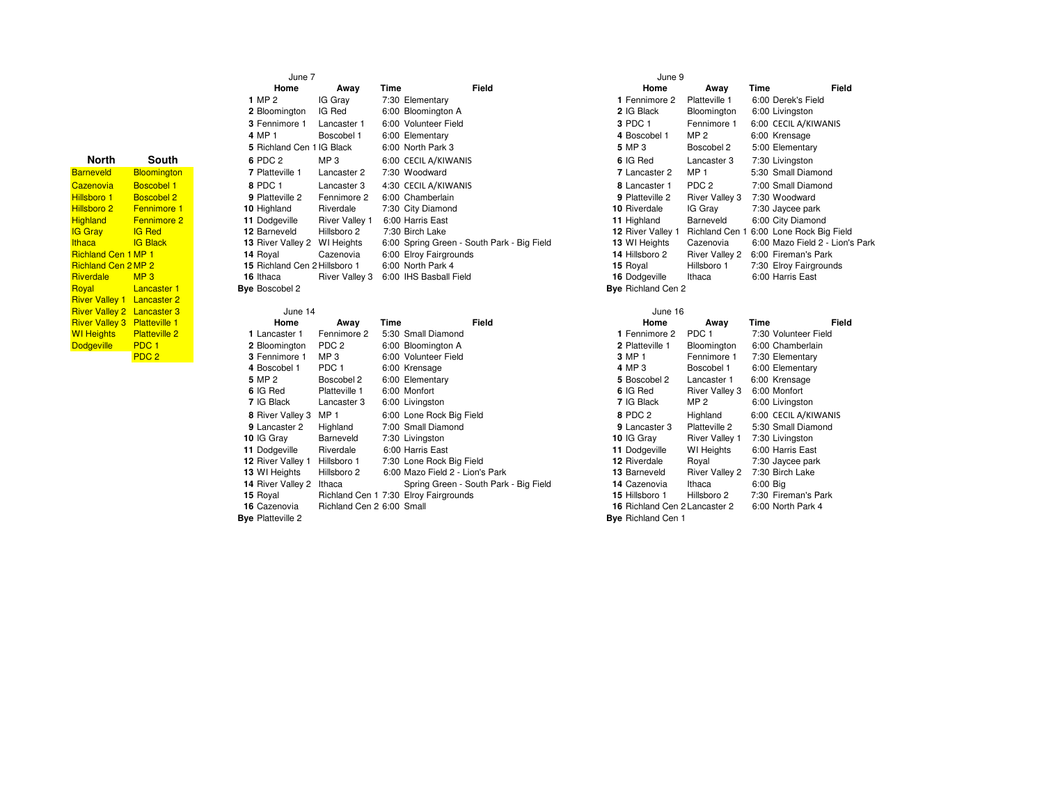| <b>North</b>                        | South                | 6 PDC 2               |
|-------------------------------------|----------------------|-----------------------|
| <b>Barneveld</b>                    | <b>Bloomington</b>   | 7 Platteville 1       |
| Cazenovia                           | <b>Boscobel 1</b>    | 8 PDC 1               |
| Hillsboro 1                         | Boscobel 2           | 9 Platteville 2       |
| Hillsboro 2                         | <b>Fennimore 1</b>   | 10 Highland           |
| <b>Highland</b>                     | <b>Fennimore 2</b>   | 11 Dodgeville         |
| <b>IG Gray</b>                      | <b>IG Red</b>        | 12 Barneveld          |
| <b>Ithaca</b>                       | <b>IG Black</b>      | 13 River Valley 2     |
| Richland Cen 1 MP 1                 |                      | 14 Royal              |
| Richland Cen 2 MP 2                 |                      | 15 Richland Cen 2     |
| Riverdale                           | MP <sub>3</sub>      | 16 Ithaca             |
| Royal                               | Lancaster 1          | <b>Bye</b> Boscobel 2 |
| River Valley 1 Lancaster 2          |                      |                       |
| River Valley 2 Lancaster 3          |                      | June 14               |
| <b>River Valley 3 Platteville 1</b> |                      | Home                  |
| WI Heights                          | <b>Platteville 2</b> | 1 Lancaster 1         |
| <b>Dodgeville</b>                   | PDC <sub>1</sub>     | 2 Bloomington         |
|                                     | PDC <sub>2</sub>     | 3 Fennimore 1         |

|                  | June 7                        |                       |                        | June 9                                     |                           |
|------------------|-------------------------------|-----------------------|------------------------|--------------------------------------------|---------------------------|
|                  | Home                          | Away                  | Time                   | Field                                      | Home                      |
|                  | 1 MP 2                        | IG Gray               | 7:30 Elementary        |                                            | 1 Fennimore 2             |
|                  | 2 Bloomington                 | IG Red                | 6:00 Bloomington A     |                                            | 2 IG Black                |
|                  | 3 Fennimore 1                 | Lancaster 1           | 6:00 Volunteer Field   |                                            | 3 PDC 1                   |
|                  | 4 MP 1                        | Boscobel 1            | 6:00 Elementary        |                                            | 4 Boscobel 1              |
|                  | 5 Richland Cen 1 IG Black     |                       | 6:00 North Park 3      |                                            | 5 MP 3                    |
| uth              | 6 PDC 2                       | MP <sub>3</sub>       | 6:00 CECIL A/KIWANIS   |                                            | 6 IG Red                  |
| ngton            | 7 Platteville 1               | Lancaster 2           | 7:30 Woodward          |                                            | 7 Lancaster 2             |
| el1              | 8 PDC 1                       | Lancaster 3           | 4:30 CECIL A/KIWANIS   |                                            | 8 Lancaster 1             |
| el2              | 9 Platteville 2               | Fennimore 2           | 6:00 Chamberlain       |                                            | 9 Platteville 2           |
| ore 1            | 10 Highland                   | Riverdale             | 7:30 City Diamond      |                                            | 10 Riverdale              |
| ore <sub>2</sub> | 11 Dodgeville                 | <b>River Valley 1</b> | 6:00 Harris East       |                                            | 11 Highland               |
|                  | 12 Barneveld                  | Hillsboro 2           | 7:30 Birch Lake        |                                            | 12 River Valley 1         |
| k                | <b>13 River Valley 2</b>      | WI Heights            |                        | 6:00 Spring Green - South Park - Big Field | 13 WI Heights             |
|                  | 14 Royal                      | Cazenovia             | 6:00 Elroy Fairgrounds |                                            | 14 Hillsboro 2            |
|                  | 15 Richland Cen 2 Hillsboro 1 |                       | 6:00 North Park 4      |                                            | 15 Royal                  |
|                  | 16 Ithaca                     | River Valley 3        | 6:00 IHS Basball Field |                                            | 16 Dodgeville             |
| ter 1            | <b>Bye</b> Boscobel 2         |                       |                        |                                            | <b>Bye</b> Richland Cen 2 |
| ter $2$          |                               |                       |                        |                                            |                           |
| ter 3            | June 14                       |                       |                        |                                            | June 16                   |
| lle <sub>1</sub> | Home                          | Away                  | Time                   | Field                                      | Home                      |
| lle <sub>2</sub> | 1 Lancaster 1                 | Fennimore 2           | 5:30 Small Diamond     |                                            | 1 Fennimore 2             |
|                  | 2 Bloomington                 | PDC <sub>2</sub>      | 6:00 Bloomington A     |                                            | 2 Platteville 1           |
|                  | 3 Fennimore 1                 | MP <sub>3</sub>       | 6:00 Volunteer Field   |                                            | 3 MP 1                    |

| Home                    | Away                   | Time | Field                                    |
|-------------------------|------------------------|------|------------------------------------------|
| $\overline{\mathbf{2}}$ | IG Gray                |      | 7:30 Elementary                          |
| mington                 | IG Red                 |      | 6:00 Bloomington A                       |
| imore 1                 | Lancaster 1            |      | 6:00 Volunteer Field                     |
|                         | Boscobel 1             |      | 6:00 Elementary                          |
| land Cen 1 IG Black     |                        |      | 6:00 North Park 3                        |
| $\overline{2}$          | MP 3                   |      | 6:00 CECIL A/KIWANIS                     |
| eville 1                | Lancaster 2            |      | 7:30 Woodward                            |
| -1                      | Lancaster 3            |      | 4:30 CECIL A/KIWANIS                     |
| eville 2                | Fennimore 2            |      | 6:00 Chamberlain                         |
| land                    | Riverdale              |      | 7:30 City Diamond                        |
| aeville                 | <b>River Valley 1</b>  |      | 6:00 Harris East                         |
| eveld                   | Hillsboro 2            |      | 7:30 Birch Lake                          |
|                         | r Valley 2 WI Heights  |      | 6:00 Spring Green - South Park - Big Fie |
| al                      | Cazenovia              |      | 6:00 Elroy Fairgrounds                   |
|                         | land Cen 2 Hillsboro 1 |      | 6:00 North Park 4                        |
| a:                      | River Valley 3         |      | 6:00 IHS Basball Field                   |
| obel 2:                 |                        |      |                                          |

|                    | June 7                        |                       |                                            | June 9       |                           |                       |                                 |       |  |
|--------------------|-------------------------------|-----------------------|--------------------------------------------|--------------|---------------------------|-----------------------|---------------------------------|-------|--|
|                    | Home                          | Away                  | Time                                       | <b>Field</b> | Home                      | Away                  | Time                            | Field |  |
|                    | 1 MP 2                        | IG Gray               | 7:30 Elementary                            |              | 1 Fennimore 2             | Platteville 1         | 6:00 Derek's Field              |       |  |
|                    | 2 Bloomington                 | IG Red                | 6:00 Bloomington A                         |              | 2 IG Black                | Bloomington           | 6:00 Livingston                 |       |  |
|                    | 3 Fennimore 1                 | Lancaster 1           | 6:00 Volunteer Field                       |              | 3 PDC 1                   | Fennimore 1           | 6:00 CECIL A/KIWANIS            |       |  |
|                    | 4 MP 1                        | Boscobel 1            | 6:00 Elementary                            |              | 4 Boscobel 1              | MP 2                  | 6:00 Krensage                   |       |  |
|                    | 5 Richland Cen                | 1 IG Black            | 6:00 North Park 3                          |              | 5 MP 3                    | Boscobel 2            | 5:00 Elementary                 |       |  |
| South              | 6 PDC 2                       | MP <sub>3</sub>       | 6:00 CECIL A/KIWANIS                       |              | 6 IG Red                  | Lancaster 3           | 7:30 Livingston                 |       |  |
| <b>Bloomington</b> | 7 Platteville 1               | Lancaster 2           | 7:30 Woodward                              |              | 7 Lancaster 2             | MP <sub>1</sub>       | 5:30 Small Diamond              |       |  |
| <b>Boscobel 1</b>  | 8 PDC 1                       | Lancaster 3           | 4:30 CECIL A/KIWANIS                       |              | 8 Lancaster 1             | PDC <sub>2</sub>      | 7:00 Small Diamond              |       |  |
| <b>Boscobel 2</b>  | 9 Platteville 2               | Fennimore 2           | 6:00 Chamberlain                           |              | 9 Platteville 2           | <b>River Valley 3</b> | 7:30 Woodward                   |       |  |
| <b>Fennimore 1</b> | 10 Highland                   | Riverdale             | 7:30 City Diamond                          |              | 10 Riverdale              | IG Gray               | 7:30 Jaycee park                |       |  |
| <b>Fennimore 2</b> | 11 Dodgeville                 | <b>River Valley 1</b> | 6:00 Harris East                           |              | 11 Highland               | Barneveld             | 6:00 City Diamond               |       |  |
| <b>IG Red</b>      | 12 Barneveld                  | Hillsboro 2           | 7:30 Birch Lake                            |              | 12 River Valley 1         | Richland Cen 1        | 6:00 Lone Rock Big Field        |       |  |
| <b>IG Black</b>    | <b>13 River Valley 2</b>      | WI Heights            | 6:00 Spring Green - South Park - Big Field |              | 13 WI Heights             | Cazenovia             | 6:00 Mazo Field 2 - Lion's Park |       |  |
| 1 MP 1             | 14 Royal                      | Cazenovia             | 6:00 Elroy Fairgrounds                     |              | 14 Hillsboro 2            | <b>River Valley 2</b> | 6:00 Fireman's Park             |       |  |
| 2 MP 2             | 15 Richland Cen 2 Hillsboro 1 |                       | 6:00 North Park 4                          |              | 15 Royal                  | Hillsboro 1           | 7:30 Elroy Fairgrounds          |       |  |
| MP <sub>3</sub>    | 16 Ithaca                     | River Valley 3        | 6:00 IHS Basball Field                     |              | 16 Dodgeville             | Ithaca                | 6:00 Harris East                |       |  |
| <b>Lancaster 1</b> | <b>Bye Boscobel 2</b>         |                       |                                            |              | <b>Bye</b> Richland Cen 2 |                       |                                 |       |  |

| aster 3 | June 14                  |                           |                                       |                                       | June 16                       |                       |                      |       |
|---------|--------------------------|---------------------------|---------------------------------------|---------------------------------------|-------------------------------|-----------------------|----------------------|-------|
| ville 1 | Home                     | Away                      | Time                                  | <b>Field</b>                          | Home                          | Away                  | Time                 | Field |
| ville 2 | 1 Lancaster 1            | Fennimore 2               | 5:30 Small Diamond                    |                                       | 1 Fennimore 2                 | PDC <sub>1</sub>      | 7:30 Volunteer Field |       |
|         | 2 Bloomington            | PDC <sub>2</sub>          | 6:00 Bloomington A                    |                                       | 2 Platteville 1               | Bloomington           | 6:00 Chamberlain     |       |
|         | 3 Fennimore 1            | MP 3                      | 6:00 Volunteer Field                  |                                       | 3 MP 1                        | Fennimore 1           | 7:30 Elementary      |       |
|         | 4 Boscobel 1             | PDC 1                     | 6:00 Krensage                         |                                       | 4 MP 3                        | Boscobel 1            | 6:00 Elementary      |       |
|         | 5 MP 2                   | Boscobel 2                | 6:00 Elementary                       |                                       | 5 Boscobel 2                  | Lancaster 1           | 6:00 Krensage        |       |
|         | 6 IG Red                 | Platteville 1             | 6:00 Monfort                          |                                       | 6 IG Red                      | <b>River Valley 3</b> | 6:00 Monfort         |       |
|         | 7 IG Black               | Lancaster 3               | 6:00 Livingston                       |                                       | 7 IG Black                    | MP 2                  | 6:00 Livingston      |       |
|         | 8 River Valley 3         | MP <sub>1</sub>           | 6:00 Lone Rock Big Field              |                                       | 8 PDC 2                       | Highland              | 6:00 CECIL A/KIWANIS |       |
|         | 9 Lancaster 2            | Highland                  | 7:00 Small Diamond                    |                                       | 9 Lancaster 3                 | Platteville 2         | 5:30 Small Diamond   |       |
|         | 10 IG Gray               | Barneveld                 | 7:30 Livingston                       |                                       | 10 IG Gray                    | <b>River Valley 1</b> | 7:30 Livingston      |       |
|         | 11 Dodgeville            | Riverdale                 | 6:00 Harris East                      |                                       | 11 Dodgeville                 | <b>WI</b> Heights     | 6:00 Harris East     |       |
|         | 12 River Valley 1        | Hillsboro 1               | 7:30 Lone Rock Big Field              |                                       | 12 Riverdale                  | Royal                 | 7:30 Jaycee park     |       |
|         | 13 WI Heights            | Hillsboro 2               |                                       | 6:00 Mazo Field 2 - Lion's Park       | 13 Barneveld                  | <b>River Valley 2</b> | 7:30 Birch Lake      |       |
|         | 14 River Valley 2        | Ithaca                    |                                       | Spring Green - South Park - Big Field | 14 Cazenovia                  | Ithaca                | 6:00 Big             |       |
|         | 15 Royal                 |                           | Richland Cen 1 7:30 Elroy Fairgrounds |                                       | 15 Hillsboro 1                | Hillsboro 2           | 7:30 Fireman's Park  |       |
|         | 16 Cazenovia             | Richland Cen 2 6:00 Small |                                       |                                       | 16 Richland Cen 2 Lancaster 2 |                       | 6:00 North Park 4    |       |
|         | <b>Bye</b> Platteville 2 |                           |                                       |                                       | <b>Bye</b> Richland Cen 1     |                       |                      |       |